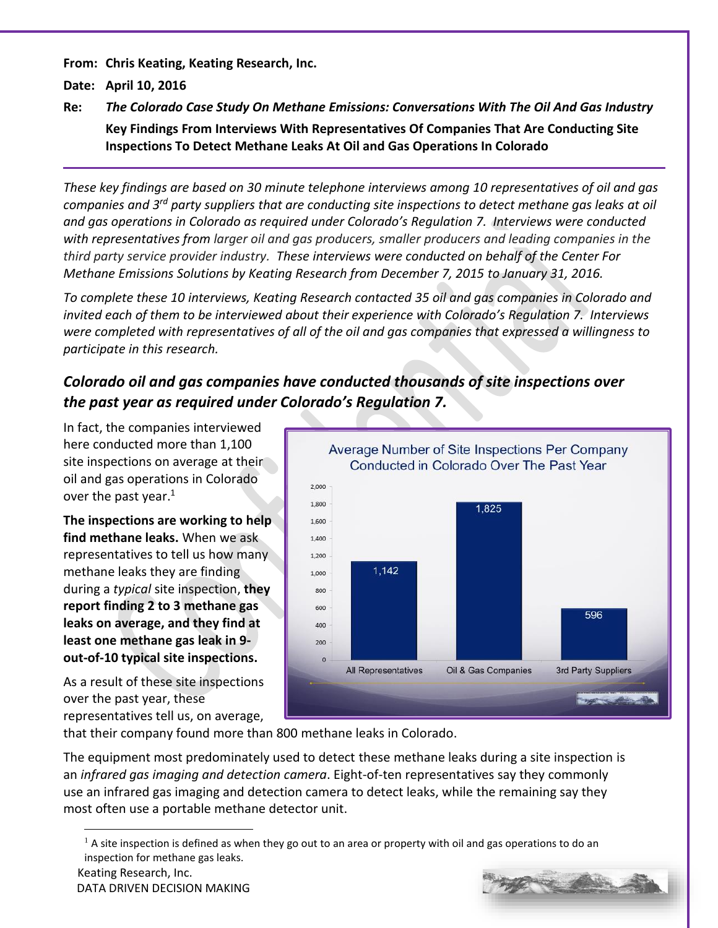**From: Chris Keating, Keating Research, Inc.**

**Date: April 10, 2016**

**Re:** *The Colorado Case Study On Methane Emissions: Conversations With The Oil And Gas Industry* **Key Findings From Interviews With Representatives Of Companies That Are Conducting Site Inspections To Detect Methane Leaks At Oil and Gas Operations In Colorado**

*These key findings are based on 30 minute telephone interviews among 10 representatives of oil and gas companies and 3rd party suppliers that are conducting site inspections to detect methane gas leaks at oil and gas operations in Colorado as required under Colorado's Regulation 7. Interviews were conducted with representatives from larger oil and gas producers, smaller producers and leading companies in the third party service provider industry. These interviews were conducted on behalf of the Center For Methane Emissions Solutions by Keating Research from December 7, 2015 to January 31, 2016.*

*To complete these 10 interviews, Keating Research contacted 35 oil and gas companies in Colorado and invited each of them to be interviewed about their experience with Colorado's Regulation 7. Interviews were completed with representatives of all of the oil and gas companies that expressed a willingness to participate in this research.*

# *Colorado oil and gas companies have conducted thousands of site inspections over the past year as required under Colorado's Regulation 7.*

In fact, the companies interviewed here conducted more than 1,100 site inspections on average at their oil and gas operations in Colorado over the past year.<sup>1</sup>

**The inspections are working to help find methane leaks.** When we ask representatives to tell us how many methane leaks they are finding during a *typical* site inspection, **they report finding 2 to 3 methane gas leaks on average, and they find at least one methane gas leak in 9 out-of-10 typical site inspections.**

As a result of these site inspections over the past year, these representatives tell us, on average,



that their company found more than 800 methane leaks in Colorado.

The equipment most predominately used to detect these methane leaks during a site inspection is an *infrared gas imaging and detection camera*. Eight-of-ten representatives say they commonly use an infrared gas imaging and detection camera to detect leaks, while the remaining say they most often use a portable methane detector unit.

 $\overline{a}$ 



 $<sup>1</sup>$  A site inspection is defined as when they go out to an area or property with oil and gas operations to do an</sup> inspection for methane gas leaks.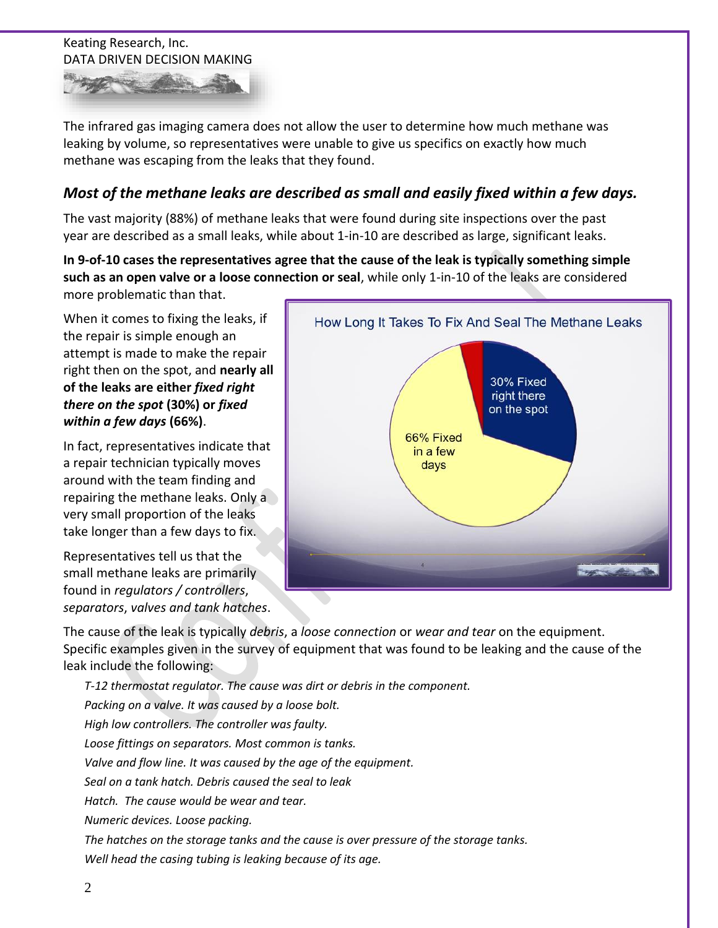

The infrared gas imaging camera does not allow the user to determine how much methane was leaking by volume, so representatives were unable to give us specifics on exactly how much methane was escaping from the leaks that they found.

## *Most of the methane leaks are described as small and easily fixed within a few days.*

The vast majority (88%) of methane leaks that were found during site inspections over the past year are described as a small leaks, while about 1-in-10 are described as large, significant leaks.

**In 9-of-10 cases the representatives agree that the cause of the leak is typically something simple such as an open valve or a loose connection or seal**, while only 1-in-10 of the leaks are considered more problematic than that.

When it comes to fixing the leaks, if the repair is simple enough an attempt is made to make the repair right then on the spot, and **nearly all of the leaks are either** *fixed right there on the spot* **(30%) or** *fixed within a few days* **(66%)**.

In fact, representatives indicate that a repair technician typically moves around with the team finding and repairing the methane leaks. Only a very small proportion of the leaks take longer than a few days to fix.

Representatives tell us that the small methane leaks are primarily found in *regulators / controllers*, *separators*, *valves and tank hatches*.



The cause of the leak is typically *debris*, a *loose connection* or *wear and tear* on the equipment. Specific examples given in the survey of equipment that was found to be leaking and the cause of the leak include the following:

*T-12 thermostat regulator. The cause was dirt or debris in the component. Packing on a valve. It was caused by a loose bolt. High low controllers. The controller was faulty. Loose fittings on separators. Most common is tanks. Valve and flow line. It was caused by the age of the equipment. Seal on a tank hatch. Debris caused the seal to leak Hatch. The cause would be wear and tear. Numeric devices. Loose packing. The hatches on the storage tanks and the cause is over pressure of the storage tanks. Well head the casing tubing is leaking because of its age.*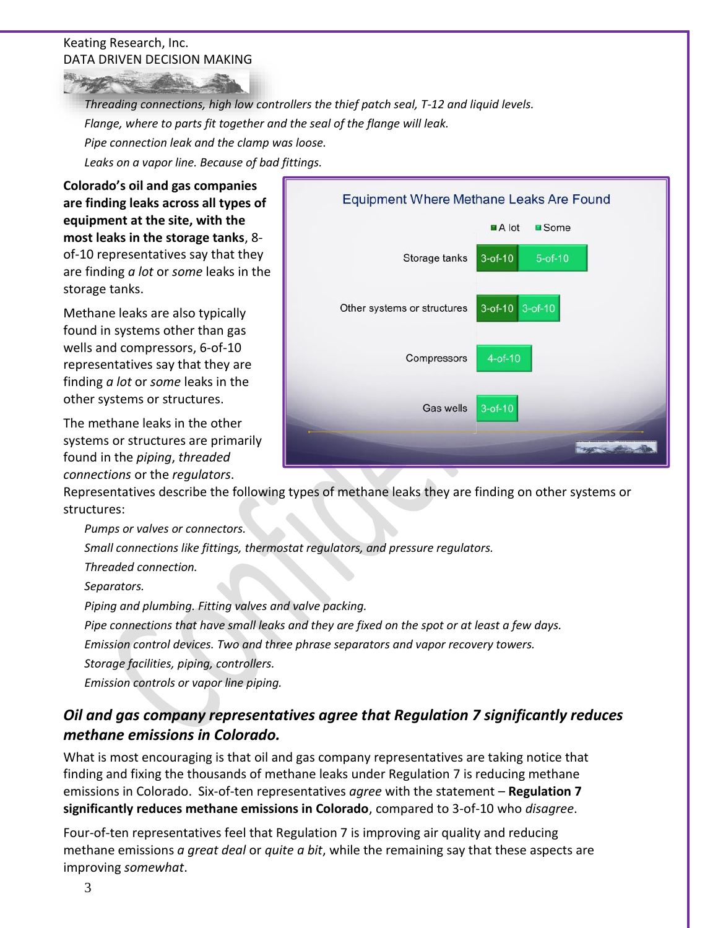*Threading connections, high low controllers the thief patch seal, T-12 and liquid levels. Flange, where to parts fit together and the seal of the flange will leak.*

*Pipe connection leak and the clamp was loose.*

*Leaks on a vapor line. Because of bad fittings.*

**Colorado's oil and gas companies are finding leaks across all types of equipment at the site, with the most leaks in the storage tanks**, 8 of-10 representatives say that they are finding *a lot* or *some* leaks in the storage tanks.

Methane leaks are also typically found in systems other than gas wells and compressors, 6-of-10 representatives say that they are finding *a lot* or *some* leaks in the other systems or structures.

The methane leaks in the other systems or structures are primarily found in the *piping*, *threaded connections* or the *regulators*.



Representatives describe the following types of methane leaks they are finding on other systems or structures:

*Pumps or valves or connectors.*

*Small connections like fittings, thermostat regulators, and pressure regulators.*

*Threaded connection.*

*Separators.*

*Piping and plumbing. Fitting valves and valve packing.*

*Pipe connections that have small leaks and they are fixed on the spot or at least a few days.*

*Emission control devices. Two and three phrase separators and vapor recovery towers.*

*Storage facilities, piping, controllers.*

*Emission controls or vapor line piping.*

# *Oil and gas company representatives agree that Regulation 7 significantly reduces methane emissions in Colorado.*

What is most encouraging is that oil and gas company representatives are taking notice that finding and fixing the thousands of methane leaks under Regulation 7 is reducing methane emissions in Colorado. Six-of-ten representatives *agree* with the statement – **Regulation 7 significantly reduces methane emissions in Colorado**, compared to 3-of-10 who *disagree*.

Four-of-ten representatives feel that Regulation 7 is improving air quality and reducing methane emissions *a great deal* or *quite a bit*, while the remaining say that these aspects are improving *somewhat*.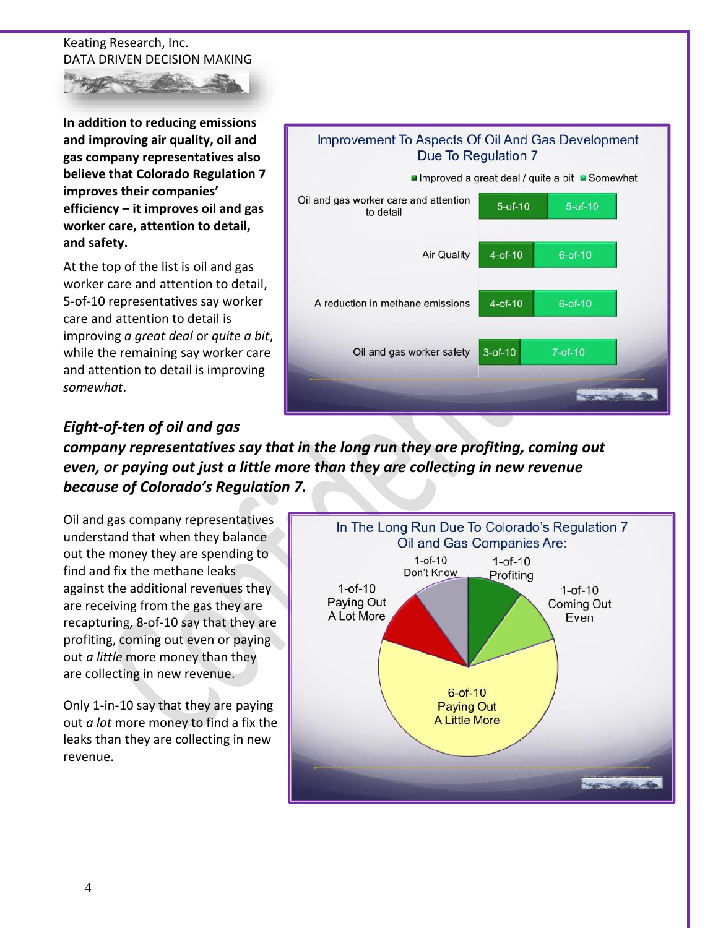

**In addition to reducing emissions and improving air quality, oil and gas company representatives also believe that Colorado Regulation 7 improves their companies' efficiency – it improves oil and gas worker care, attention to detail, and safety.** 

At the top of the list is oil and gas worker care and attention to detail, 5-of-10 representatives say worker care and attention to detail is improving *a great deal* or *quite a bit*, while the remaining say worker care and attention to detail is improving *somewhat*.



# *Eight-of-ten of oil and gas*

*company representatives say that in the long run they are profiting, coming out even, or paying out just a little more than they are collecting in new revenue because of Colorado's Regulation 7.*

Oil and gas company representatives understand that when they balance out the money they are spending to find and fix the methane leaks against the additional revenues they are receiving from the gas they are recapturing, 8-of-10 say that they are profiting, coming out even or paying out *a little* more money than they are collecting in new revenue.

Only 1-in-10 say that they are paying out *a lot* more money to find a fix the leaks than they are collecting in new revenue.